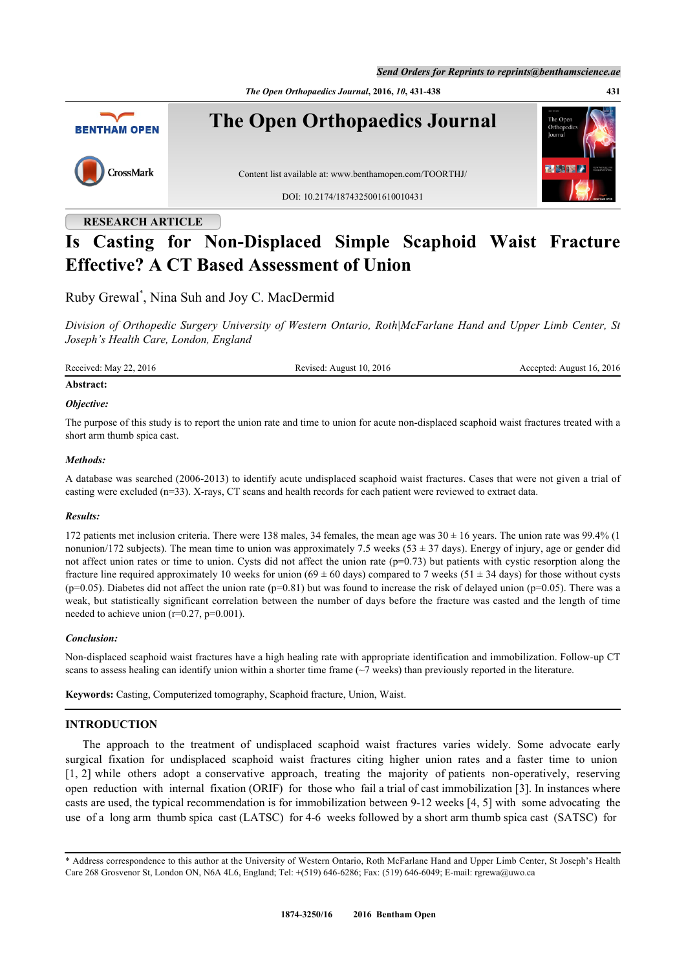*Send Orders for Reprints to reprints@benthamscience.ae*

*The Open Orthopaedics Journal***, 2016,** *10***, 431-438 431**



# **RESEARCH ARTICLE**

# **Is Casting for Non-Displaced Simple Scaphoid Waist Fracture Effective? A CT Based Assessment of Union**

Ruby Grewal[\\*](#page-0-0) , Nina Suh and Joy C. MacDermid

*Division of Orthopedic Surgery University of Western Ontario, Roth|McFarlane Hand and Upper Limb Center, St Joseph's Health Care, London, England*

Received: May 22, 2016 Revised: August 10, 2016 Accepted: August 16, 2016

# **Abstract:**

#### *Objective:*

The purpose of this study is to report the union rate and time to union for acute non-displaced scaphoid waist fractures treated with a short arm thumb spica cast.

#### *Methods:*

A database was searched (2006-2013) to identify acute undisplaced scaphoid waist fractures. Cases that were not given a trial of casting were excluded (n=33). X-rays, CT scans and health records for each patient were reviewed to extract data.

# *Results:*

172 patients met inclusion criteria. There were 138 males, 34 females, the mean age was  $30 \pm 16$  years. The union rate was 99.4% (1) nonunion/172 subjects). The mean time to union was approximately 7.5 weeks ( $53 \pm 37$  days). Energy of injury, age or gender did not affect union rates or time to union. Cysts did not affect the union rate (p=0.73) but patients with cystic resorption along the fracture line required approximately 10 weeks for union (69  $\pm$  60 days) compared to 7 weeks (51  $\pm$  34 days) for those without cysts  $(p=0.05)$ . Diabetes did not affect the union rate  $(p=0.81)$  but was found to increase the risk of delayed union  $(p=0.05)$ . There was a weak, but statistically significant correlation between the number of days before the fracture was casted and the length of time needed to achieve union  $(r=0.27, p=0.001)$ .

# *Conclusion:*

Non-displaced scaphoid waist fractures have a high healing rate with appropriate identification and immobilization. Follow-up CT scans to assess healing can identify union within a shorter time frame  $(\sim)$  weeks) than previously reported in the literature.

**Keywords:** Casting, Computerized tomography, Scaphoid fracture, Union, Waist.

# **INTRODUCTION**

The approach to the treatment of undisplaced scaphoid waist fractures varies widely. Some advocate early surgical fixation for undisplaced scaphoid waist fractures citing higher union rates and a faster time to union [\[1](#page-5-0), [2\]](#page-5-1) while others adopt a conservative approach, treating the majority of patients non-operatively, reserving open reduction with internal fixation (ORIF) for those who fail a trial of cast immobilization [[3\]](#page-5-2). In instances where casts are used, the typical recommendation is for immobilization between 9-12 weeks [[4,](#page-5-3) [5\]](#page-5-4) with some advocating the use of a long arm thumb spica cast (LATSC) for 4-6 weeks followed by a short arm thumb spica cast (SATSC) for

<span id="page-0-0"></span><sup>\*</sup> Address correspondence to this author at the University of Western Ontario, Roth McFarlane Hand and Upper Limb Center, St Joseph's Health Care 268 Grosvenor St, London ON, N6A 4L6, England; Tel: +(519) 646-6286; Fax: (519) 646-6049; E-mail: [rgrewa@uwo.ca](mailto:rgrewa@uwo.ca)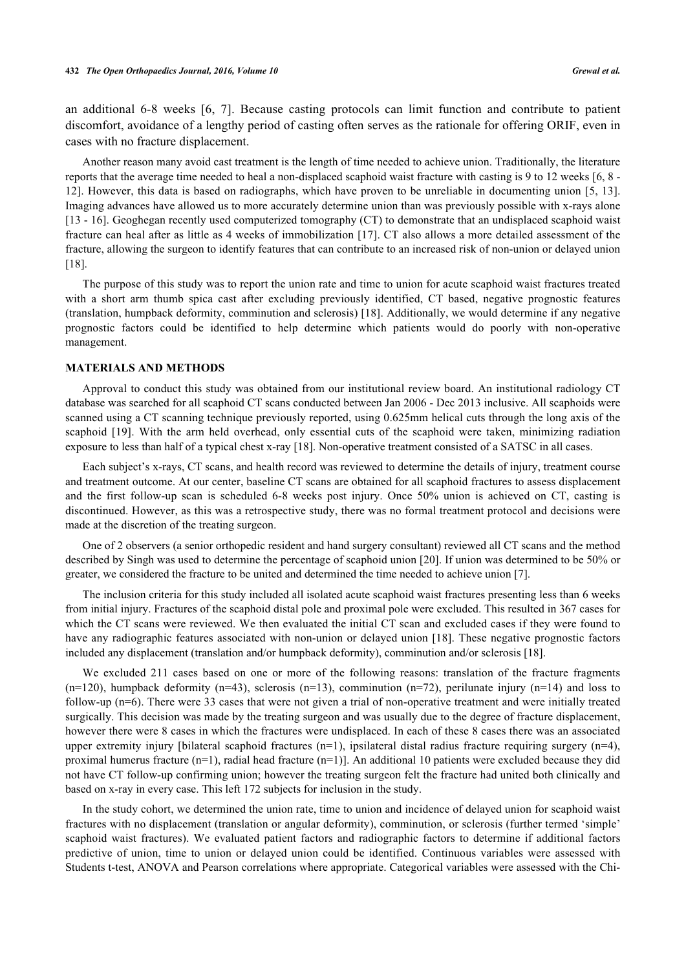an additional 6-8 weeks [\[6,](#page-5-5) [7](#page-6-0)]. Because casting protocols can limit function and contribute to patient discomfort, avoidance of a lengthy period of casting often serves as the rationale for offering ORIF, even in cases with no fracture displacement.

Another reason many avoid cast treatment is the length of time needed to achieve union. Traditionally, the literature reports that the average time needed to heal a non-displaced scaphoid waist fracture with casting is 9 to 12 weeks [[6,](#page-5-5) [8](#page-6-1) - [12\]](#page-6-2). However, this data is based on radiographs, which have proven to be unreliable in documenting union [\[5,](#page-5-4) [13\]](#page-6-3). Imaging advances have allowed us to more accurately determine union than was previously possible with x-rays alone [\[13](#page-6-3) - [16](#page-6-4)]. Geoghegan recently used computerized tomography (CT) to demonstrate that an undisplaced scaphoid waist fracture can heal after as little as 4 weeks of immobilization [[17](#page-6-5)]. CT also allows a more detailed assessment of the fracture, allowing the surgeon to identify features that can contribute to an increased risk of non-union or delayed union [\[18](#page-6-6)].

The purpose of this study was to report the union rate and time to union for acute scaphoid waist fractures treated with a short arm thumb spica cast after excluding previously identified, CT based, negative prognostic features (translation, humpback deformity, comminution and sclerosis) [[18\]](#page-6-6). Additionally, we would determine if any negative prognostic factors could be identified to help determine which patients would do poorly with non-operative management.

#### **MATERIALS AND METHODS**

Approval to conduct this study was obtained from our institutional review board. An institutional radiology CT database was searched for all scaphoid CT scans conducted between Jan 2006 - Dec 2013 inclusive. All scaphoids were scanned using a CT scanning technique previously reported, using 0.625mm helical cuts through the long axis of the scaphoid [\[19\]](#page-6-7). With the arm held overhead, only essential cuts of the scaphoid were taken, minimizing radiation exposure to less than half of a typical chest x-ray [\[18](#page-6-6)]. Non-operative treatment consisted of a SATSC in all cases.

Each subject's x-rays, CT scans, and health record was reviewed to determine the details of injury, treatment course and treatment outcome. At our center, baseline CT scans are obtained for all scaphoid fractures to assess displacement and the first follow-up scan is scheduled 6-8 weeks post injury. Once 50% union is achieved on CT, casting is discontinued. However, as this was a retrospective study, there was no formal treatment protocol and decisions were made at the discretion of the treating surgeon.

One of 2 observers (a senior orthopedic resident and hand surgery consultant) reviewed all CT scans and the method described by Singh was used to determine the percentage of scaphoid union [[20\]](#page-6-8). If union was determined to be 50% or greater, we considered the fracture to be united and determined the time needed to achieve union [[7\]](#page-6-0).

The inclusion criteria for this study included all isolated acute scaphoid waist fractures presenting less than 6 weeks from initial injury. Fractures of the scaphoid distal pole and proximal pole were excluded. This resulted in 367 cases for which the CT scans were reviewed. We then evaluated the initial CT scan and excluded cases if they were found to have any radiographic features associated with non-union or delayed union [[18\]](#page-6-6). These negative prognostic factors included any displacement (translation and/or humpback deformity), comminution and/or sclerosis [\[18](#page-6-6)].

We excluded 211 cases based on one or more of the following reasons: translation of the fracture fragments  $(n=120)$ , humpback deformity  $(n=43)$ , sclerosis  $(n=13)$ , comminution  $(n=72)$ , perilunate injury  $(n=14)$  and loss to follow-up (n=6). There were 33 cases that were not given a trial of non-operative treatment and were initially treated surgically. This decision was made by the treating surgeon and was usually due to the degree of fracture displacement, however there were 8 cases in which the fractures were undisplaced. In each of these 8 cases there was an associated upper extremity injury [bilateral scaphoid fractures  $(n=1)$ , ipsilateral distal radius fracture requiring surgery  $(n=4)$ , proximal humerus fracture  $(n=1)$ , radial head fracture  $(n=1)$ ]. An additional 10 patients were excluded because they did not have CT follow-up confirming union; however the treating surgeon felt the fracture had united both clinically and based on x-ray in every case. This left 172 subjects for inclusion in the study.

In the study cohort, we determined the union rate, time to union and incidence of delayed union for scaphoid waist fractures with no displacement (translation or angular deformity), comminution, or sclerosis (further termed 'simple' scaphoid waist fractures). We evaluated patient factors and radiographic factors to determine if additional factors predictive of union, time to union or delayed union could be identified. Continuous variables were assessed with Students t-test, ANOVA and Pearson correlations where appropriate. Categorical variables were assessed with the Chi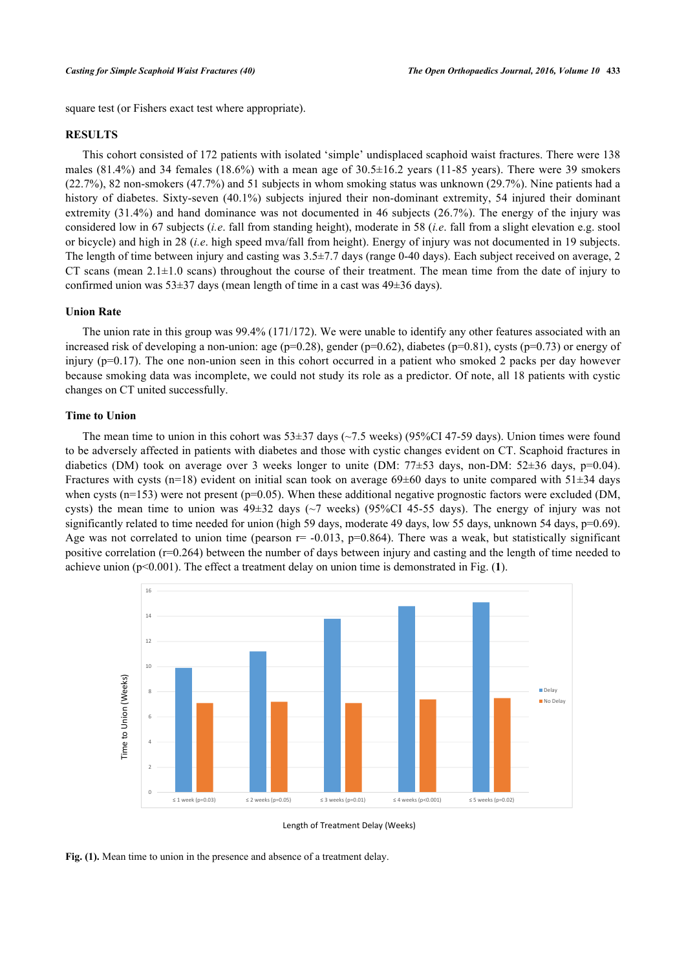square test (or Fishers exact test where appropriate).

# **RESULTS**

This cohort consisted of 172 patients with isolated 'simple' undisplaced scaphoid waist fractures. There were 138 males (81.4%) and 34 females (18.6%) with a mean age of  $30.5\pm16.2$  years (11-85 years). There were 39 smokers (22.7%), 82 non-smokers (47.7%) and 51 subjects in whom smoking status was unknown (29.7%). Nine patients had a history of diabetes. Sixty-seven (40.1%) subjects injured their non-dominant extremity, 54 injured their dominant extremity (31.4%) and hand dominance was not documented in 46 subjects (26.7%). The energy of the injury was considered low in 67 subjects (*i.e*. fall from standing height), moderate in 58 (*i.e*. fall from a slight elevation e.g. stool or bicycle) and high in 28 (*i.e*. high speed mva/fall from height). Energy of injury was not documented in 19 subjects. The length of time between injury and casting was  $3.5\pm7.7$  days (range 0-40 days). Each subject received on average, 2 CT scans (mean  $2.1\pm1.0$  scans) throughout the course of their treatment. The mean time from the date of injury to confirmed union was  $53\pm37$  days (mean length of time in a cast was  $49\pm36$  days).

# **Union Rate**

The union rate in this group was 99.4% (171/172). We were unable to identify any other features associated with an increased risk of developing a non-union: age ( $p=0.28$ ), gender ( $p=0.62$ ), diabetes ( $p=0.81$ ), cysts ( $p=0.73$ ) or energy of injury ( $p=0.17$ ). The one non-union seen in this cohort occurred in a patient who smoked 2 packs per day however because smoking data was incomplete, we could not study its role as a predictor. Of note, all 18 patients with cystic changes on CT united successfully.

#### **Time to Union**

The mean time to union in this cohort was  $53\pm37$  days ( $\sim$ 7.5 weeks) (95%CI 47-59 days). Union times were found to be adversely affected in patients with diabetes and those with cystic changes evident on CT. Scaphoid fractures in diabetics (DM) took on average over 3 weeks longer to unite (DM:  $77\pm53$  days, non-DM:  $52\pm36$  days, p=0.04). Fractures with cysts (n=18) evident on initial scan took on average  $69\pm60$  days to unite compared with  $51\pm34$  days when cysts ( $n=153$ ) were not present ( $p=0.05$ ). When these additional negative prognostic factors were excluded (DM, cysts) the mean time to union was 49±32 days (~7 weeks) (95%CI 45-55 days). The energy of injury was not significantly related to time needed for union (high 59 days, moderate 49 days, low 55 days, unknown 54 days, p=0.69). Age was not correlated to union time (pearson  $r = -0.013$ ,  $p=0.864$ ). There was a weak, but statistically significant positive correlation (r=0.264) between the number of days between injury and casting and the length of time needed to achieve union ( $p<0.001$  $p<0.001$ ). The effect a treatment delay on union time is demonstrated in Fig.  $(1)$ .

<span id="page-2-0"></span>

Length of Treatment Delay (Weeks)

**Fig. (1).** Mean time to union in the presence and absence of a treatment delay.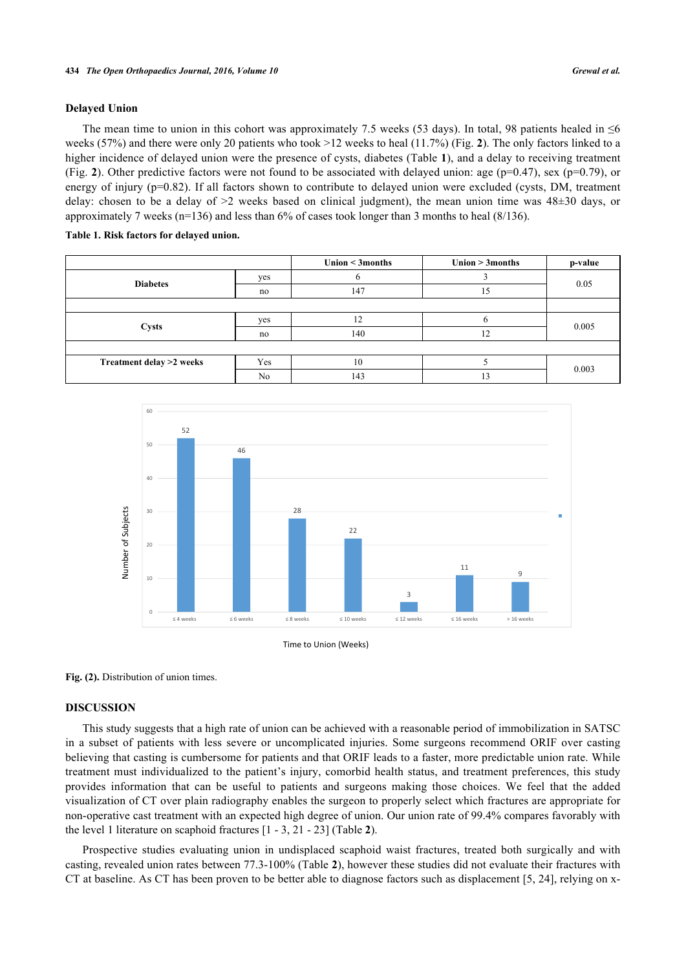#### **Delayed Union**

The mean time to union in this cohort was approximately 7.5 weeks (53 days). In total, 98 patients healed in  $\leq 6$ weeks (57%) and there were only 20 patients who took >12 weeks to heal (11.7%) (Fig. **[2](#page-3-0)**). The only factors linked to a higher incidence of delayed union were the presence of cysts, diabetes (Table **[1](#page-3-1)**), and a delay to receiving treatment (Fig. [2](#page-3-0)). Other predictive factors were not found to be associated with delayed union: age ( $p=0.47$ ), sex ( $p=0.79$ ), or energy of injury (p=0.82). If all factors shown to contribute to delayed union were excluded (cysts, DM, treatment delay: chosen to be a delay of  $>2$  weeks based on clinical judgment), the mean union time was  $48\pm30$  days, or approximately 7 weeks (n=136) and less than 6% of cases took longer than 3 months to heal (8/136).

#### <span id="page-3-1"></span>**Table 1. Risk factors for delayed union.**

|                          |     | Union < 3months | Union $>$ 3 months | p-value |  |
|--------------------------|-----|-----------------|--------------------|---------|--|
| <b>Diabetes</b>          | yes |                 |                    | 0.05    |  |
|                          | no  | 147             | 15                 |         |  |
|                          |     |                 |                    |         |  |
|                          | yes | 12              | t                  | 0.005   |  |
| <b>Cysts</b>             | no  | 140             | 12                 |         |  |
|                          |     |                 |                    |         |  |
| Treatment delay >2 weeks | Yes | 10              |                    | 0.003   |  |
|                          | No  | 143             | 13                 |         |  |

<span id="page-3-0"></span>

Time to Union (Weeks)

Fig. (2). Distribution of union times.

#### **DISCUSSION**

This study suggests that a high rate of union can be achieved with a reasonable period of immobilization in SATSC in a subset of patients with less severe or uncomplicated injuries. Some surgeons recommend ORIF over casting believing that casting is cumbersome for patients and that ORIF leads to a faster, more predictable union rate. While treatment must individualized to the patient's injury, comorbid health status, and treatment preferences, this study provides information that can be useful to patients and surgeons making those choices. We feel that the added visualization of CT over plain radiography enables the surgeon to properly select which fractures are appropriate for non-operative cast treatment with an expected high degree of union. Our union rate of 99.4% compares favorably with the level 1 literature on scaphoid fractures [[1](#page-5-0) - [3](#page-5-2), [21](#page-6-9) - [23](#page-6-10)] (Table **[2](#page-4-0)**).

Prospective studies evaluating union in undisplaced scaphoid waist fractures, treated both surgically and with casting, revealed union rates between 77.3-100% (Table **[2](#page-4-0)**), however these studies did not evaluate their fractures with CT at baseline. As CT has been proven to be better able to diagnose factors such as displacement [\[5](#page-5-4), [24\]](#page-6-11), relying on x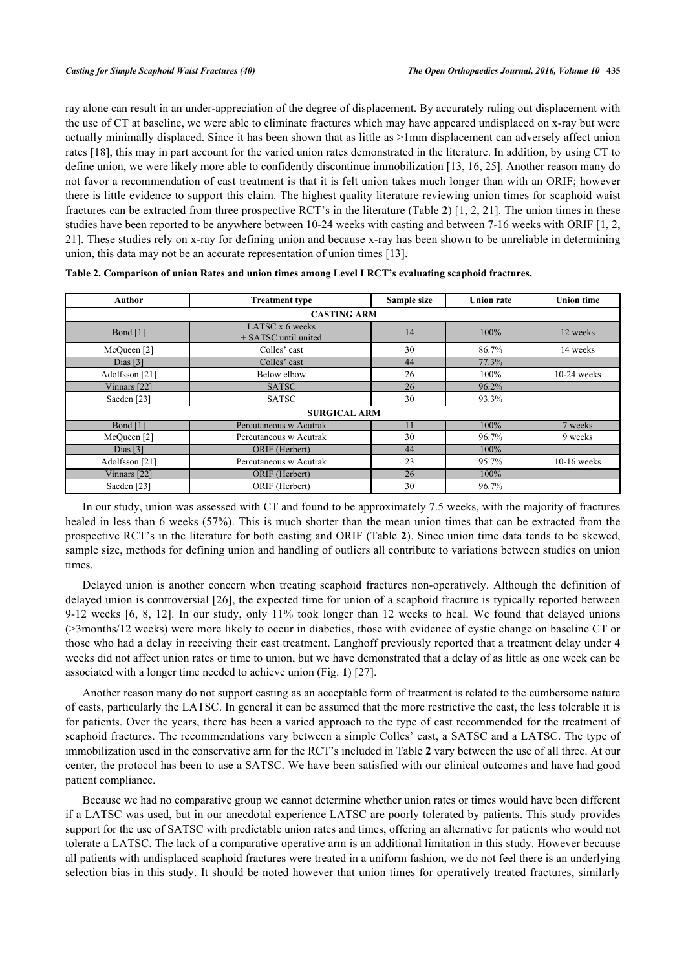ray alone can result in an under-appreciation of the degree of displacement. By accurately ruling out displacement with the use of CT at baseline, we were able to eliminate fractures which may have appeared undisplaced on x-ray but were actually minimally displaced. Since it has been shown that as little as >1mm displacement can adversely affect union rates [[18\]](#page-6-6), this may in part account for the varied union rates demonstrated in the literature. In addition, by using CT to define union, we were likely more able to confidently discontinue immobilization [[13](#page-6-3), [16](#page-6-4), [25](#page-6-12)]. Another reason many do not favor a recommendation of cast treatment is that it is felt union takes much longer than with an ORIF; however there is little evidence to support this claim. The highest quality literature reviewing union times for scaphoid waist fractures can be extracted from three prospective RCT's in the literature (Table **[2](#page-4-0)**) [\[1](#page-5-0), [2,](#page-5-1) [21](#page-6-9)]. The union times in these studies have been reported to be anywhere between 10-24 weeks with casting and between 7-16 weeks with ORIF [[1](#page-5-0), [2](#page-5-1), [21\]](#page-6-9). These studies rely on x-ray for defining union and because x-ray has been shown to be unreliable in determining union, this data may not be an accurate representation of union times [\[13](#page-6-3)].

| Author                 | <b>Treatment type</b>                   | Sample size | <b>Union rate</b> | <b>Union time</b> |  |  |  |  |  |
|------------------------|-----------------------------------------|-------------|-------------------|-------------------|--|--|--|--|--|
| <b>CASTING ARM</b>     |                                         |             |                   |                   |  |  |  |  |  |
| Bond [1]               | LATSC x 6 weeks<br>+ SATSC until united | 100%        | 12 weeks          |                   |  |  |  |  |  |
| McQueen [2]            | Colles' cast                            | 30          | 86.7%             | 14 weeks          |  |  |  |  |  |
| Dias $[3]$             | Colles' cast                            | 44          | 77.3%             |                   |  |  |  |  |  |
| Adolfsson [21]         | Below elbow                             | 26          | 100%              | $10-24$ weeks     |  |  |  |  |  |
| Vinnars [22]           | <b>SATSC</b>                            | 26          | 96.2%             |                   |  |  |  |  |  |
| Saeden [23]            | <b>SATSC</b>                            | 30          | 93.3%             |                   |  |  |  |  |  |
| <b>SURGICAL ARM</b>    |                                         |             |                   |                   |  |  |  |  |  |
| Bond [1]               | Percutaneous w Acutrak                  | 11          | 100%              | 7 weeks           |  |  |  |  |  |
| McQueen <sup>[2]</sup> | Percutaneous w Acutrak                  | 30          | 96.7%             | 9 weeks           |  |  |  |  |  |
| Dias $[3]$             | ORIF (Herbert)                          | 44          | 100%              |                   |  |  |  |  |  |
| Adolfsson [21]         | Percutaneous w Acutrak                  | 23          | 95.7%             | $10-16$ weeks     |  |  |  |  |  |
| Vinnars [22]           | ORIF (Herbert)                          | 26          | 100%              |                   |  |  |  |  |  |
| Saeden [23]            | ORIF (Herbert)                          | 30          | 96.7%             |                   |  |  |  |  |  |

<span id="page-4-0"></span>

| Table 2. Comparison of union Rates and union times among Level I RCT's evaluating scaphoid fractures. |  |  |  |  |
|-------------------------------------------------------------------------------------------------------|--|--|--|--|
|                                                                                                       |  |  |  |  |

In our study, union was assessed with CT and found to be approximately 7.5 weeks, with the majority of fractures healed in less than 6 weeks (57%). This is much shorter than the mean union times that can be extracted from the prospective RCT's in the literature for both casting and ORIF (Table **[2](#page-4-0)**). Since union time data tends to be skewed, sample size, methods for defining union and handling of outliers all contribute to variations between studies on union times.

Delayed union is another concern when treating scaphoid fractures non-operatively. Although the definition of delayed union is controversial [[26](#page-6-14)], the expected time for union of a scaphoid fracture is typically reported between 9-12 weeks[[6](#page-5-5), [8,](#page-6-1) [12](#page-6-2)]. In our study, only 11% took longer than 12 weeks to heal. We found that delayed unions (>3months/12 weeks) were more likely to occur in diabetics, those with evidence of cystic change on baseline CT or those who had a delay in receiving their cast treatment. Langhoff previously reported that a treatment delay under 4 weeks did not affect union rates or time to union, but we have demonstrated that a delay of as little as one week can be associated with a longer time needed to achieve union (Fig. **[1](#page-2-0)**) [\[27](#page-7-0)].

Another reason many do not support casting as an acceptable form of treatment is related to the cumbersome nature of casts, particularly the LATSC. In general it can be assumed that the more restrictive the cast, the less tolerable it is for patients. Over the years, there has been a varied approach to the type of cast recommended for the treatment of scaphoid fractures. The recommendations vary between a simple Colles' cast, a SATSC and a LATSC. The type of immobilization used in the conservative arm for the RCT's included in Table **[2](#page-4-0)** vary between the use of all three. At our center, the protocol has been to use a SATSC. We have been satisfied with our clinical outcomes and have had good patient compliance.

Because we had no comparative group we cannot determine whether union rates or times would have been different if a LATSC was used, but in our anecdotal experience LATSC are poorly tolerated by patients. This study provides support for the use of SATSC with predictable union rates and times, offering an alternative for patients who would not tolerate a LATSC. The lack of a comparative operative arm is an additional limitation in this study. However because all patients with undisplaced scaphoid fractures were treated in a uniform fashion, we do not feel there is an underlying selection bias in this study. It should be noted however that union times for operatively treated fractures, similarly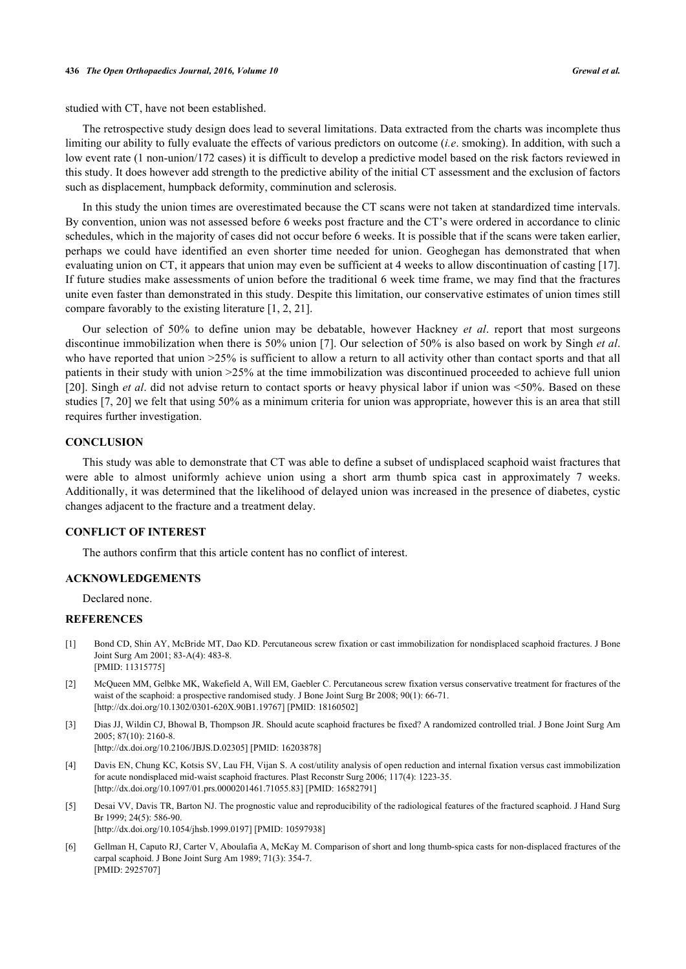studied with CT, have not been established.

The retrospective study design does lead to several limitations. Data extracted from the charts was incomplete thus limiting our ability to fully evaluate the effects of various predictors on outcome (*i.e*. smoking). In addition, with such a low event rate (1 non-union/172 cases) it is difficult to develop a predictive model based on the risk factors reviewed in this study. It does however add strength to the predictive ability of the initial CT assessment and the exclusion of factors such as displacement, humpback deformity, comminution and sclerosis.

In this study the union times are overestimated because the CT scans were not taken at standardized time intervals. By convention, union was not assessed before 6 weeks post fracture and the CT's were ordered in accordance to clinic schedules, which in the majority of cases did not occur before 6 weeks. It is possible that if the scans were taken earlier, perhaps we could have identified an even shorter time needed for union. Geoghegan has demonstrated that when evaluating union on CT, it appears that union may even be sufficient at 4 weeks to allow discontinuation of casting [[17\]](#page-6-5). If future studies make assessments of union before the traditional 6 week time frame, we may find that the fractures unite even faster than demonstrated in this study. Despite this limitation, our conservative estimates of union times still compare favorably to the existing literature [[1,](#page-5-0) [2,](#page-5-1) [21\]](#page-6-9).

Our selection of 50% to define union may be debatable, however Hackney *et al*. report that most surgeons discontinue immobilization when there is 50% union [\[7](#page-6-0)]. Our selection of 50% is also based on work by Singh *et al*. who have reported that union  $>25\%$  is sufficient to allow a return to all activity other than contact sports and that all patients in their study with union >25% at the time immobilization was discontinued proceeded to achieve full union [\[20](#page-6-8)]. Singh *et al*. did not advise return to contact sports or heavy physical labor if union was <50%. Based on these studies [[7,](#page-6-0) [20\]](#page-6-8) we felt that using 50% as a minimum criteria for union was appropriate, however this is an area that still requires further investigation.

#### **CONCLUSION**

This study was able to demonstrate that CT was able to define a subset of undisplaced scaphoid waist fractures that were able to almost uniformly achieve union using a short arm thumb spica cast in approximately 7 weeks. Additionally, it was determined that the likelihood of delayed union was increased in the presence of diabetes, cystic changes adjacent to the fracture and a treatment delay.

#### **CONFLICT OF INTEREST**

The authors confirm that this article content has no conflict of interest.

[\[http://dx.doi.org/10.1097/01.prs.0000201461.71055.83\]](http://dx.doi.org/10.1097/01.prs.0000201461.71055.83) [PMID: [16582791](http://www.ncbi.nlm.nih.gov/pubmed/16582791)]

# **ACKNOWLEDGEMENTS**

Declared none.

#### **REFERENCES**

- <span id="page-5-0"></span>[1] Bond CD, Shin AY, McBride MT, Dao KD. Percutaneous screw fixation or cast immobilization for nondisplaced scaphoid fractures. J Bone Joint Surg Am 2001; 83-A(4): 483-8. [PMID: [11315775\]](http://www.ncbi.nlm.nih.gov/pubmed/11315775)
- <span id="page-5-1"></span>[2] McQueen MM, Gelbke MK, Wakefield A, Will EM, Gaebler C. Percutaneous screw fixation versus conservative treatment for fractures of the waist of the scaphoid: a prospective randomised study. J Bone Joint Surg Br 2008; 90(1): 66-71. [\[http://dx.doi.org/10.1302/0301-620X.90B1.19767\]](http://dx.doi.org/10.1302/0301-620X.90B1.19767) [PMID: [18160502](http://www.ncbi.nlm.nih.gov/pubmed/18160502)]
- <span id="page-5-2"></span>[3] Dias JJ, Wildin CJ, Bhowal B, Thompson JR. Should acute scaphoid fractures be fixed? A randomized controlled trial. J Bone Joint Surg Am 2005; 87(10): 2160-8. [\[http://dx.doi.org/10.2106/JBJS.D.02305\]](http://dx.doi.org/10.2106/JBJS.D.02305) [PMID: [16203878](http://www.ncbi.nlm.nih.gov/pubmed/16203878)]
- <span id="page-5-3"></span>[4] Davis EN, Chung KC, Kotsis SV, Lau FH, Vijan S. A cost/utility analysis of open reduction and internal fixation versus cast immobilization for acute nondisplaced mid-waist scaphoid fractures. Plast Reconstr Surg 2006; 117(4): 1223-35.
- <span id="page-5-4"></span>[5] Desai VV, Davis TR, Barton NJ. The prognostic value and reproducibility of the radiological features of the fractured scaphoid. J Hand Surg Br 1999; 24(5): 586-90. [\[http://dx.doi.org/10.1054/jhsb.1999.0197](http://dx.doi.org/10.1054/jhsb.1999.0197)] [PMID: [10597938\]](http://www.ncbi.nlm.nih.gov/pubmed/10597938)
- <span id="page-5-5"></span>[6] Gellman H, Caputo RJ, Carter V, Aboulafia A, McKay M. Comparison of short and long thumb-spica casts for non-displaced fractures of the carpal scaphoid. J Bone Joint Surg Am 1989; 71(3): 354-7. [PMID: [2925707\]](http://www.ncbi.nlm.nih.gov/pubmed/2925707)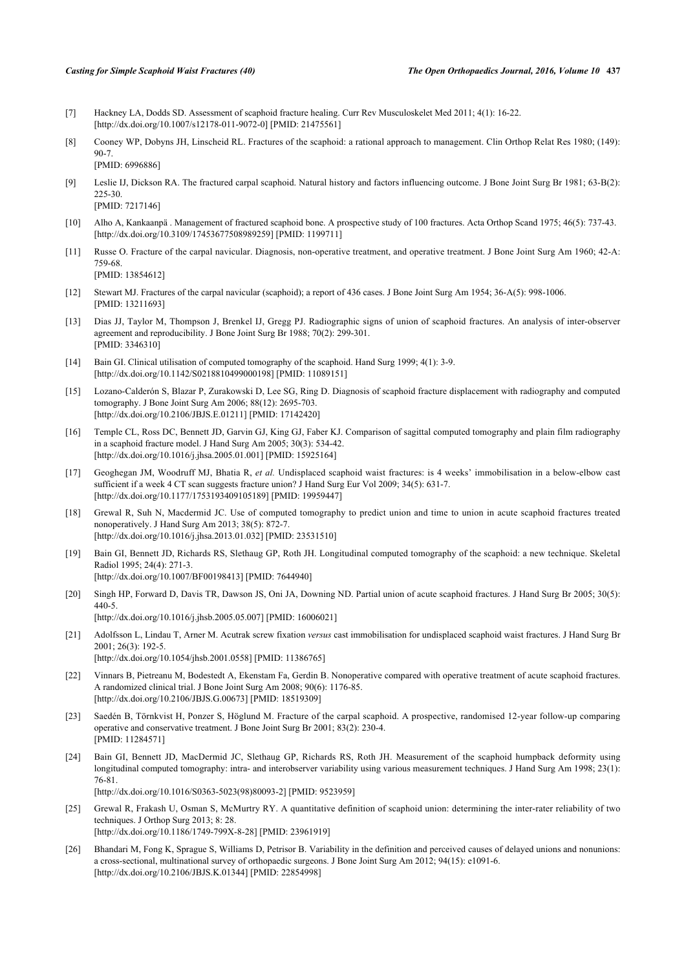- <span id="page-6-0"></span>[7] Hackney LA, Dodds SD. Assessment of scaphoid fracture healing. Curr Rev Musculoskelet Med 2011; 4(1): 16-22. [\[http://dx.doi.org/10.1007/s12178-011-9072-0\]](http://dx.doi.org/10.1007/s12178-011-9072-0) [PMID: [21475561](http://www.ncbi.nlm.nih.gov/pubmed/21475561)]
- <span id="page-6-1"></span>[8] Cooney WP, Dobyns JH, Linscheid RL. Fractures of the scaphoid: a rational approach to management. Clin Orthop Relat Res 1980; (149): 90-7. [PMID: [6996886\]](http://www.ncbi.nlm.nih.gov/pubmed/6996886)
- [9] Leslie IJ, Dickson RA. The fractured carpal scaphoid. Natural history and factors influencing outcome. J Bone Joint Surg Br 1981; 63-B(2): 225-30. [PMID: [7217146\]](http://www.ncbi.nlm.nih.gov/pubmed/7217146)
- [10] Alho A, Kankaanpä . Management of fractured scaphoid bone. A prospective study of 100 fractures. Acta Orthop Scand 1975; 46(5): 737-43. [\[http://dx.doi.org/10.3109/17453677508989259\]](http://dx.doi.org/10.3109/17453677508989259) [PMID: [1199711](http://www.ncbi.nlm.nih.gov/pubmed/1199711)]
- [11] Russe O. Fracture of the carpal navicular. Diagnosis, non-operative treatment, and operative treatment. J Bone Joint Surg Am 1960; 42-A: 759-68. [PMID: [13854612\]](http://www.ncbi.nlm.nih.gov/pubmed/13854612)
- <span id="page-6-2"></span>[12] Stewart MJ. Fractures of the carpal navicular (scaphoid); a report of 436 cases. J Bone Joint Surg Am 1954; 36-A(5): 998-1006. [PMID: [13211693\]](http://www.ncbi.nlm.nih.gov/pubmed/13211693)
- <span id="page-6-3"></span>[13] Dias JJ, Taylor M, Thompson J, Brenkel IJ, Gregg PJ. Radiographic signs of union of scaphoid fractures. An analysis of inter-observer agreement and reproducibility. J Bone Joint Surg Br 1988; 70(2): 299-301. [PMID: [3346310\]](http://www.ncbi.nlm.nih.gov/pubmed/3346310)
- [14] Bain GI. Clinical utilisation of computed tomography of the scaphoid. Hand Surg 1999; 4(1): 3-9. [\[http://dx.doi.org/10.1142/S0218810499000198](http://dx.doi.org/10.1142/S0218810499000198)] [PMID: [11089151\]](http://www.ncbi.nlm.nih.gov/pubmed/11089151)
- [15] Lozano-Calderón S, Blazar P, Zurakowski D, Lee SG, Ring D. Diagnosis of scaphoid fracture displacement with radiography and computed tomography. J Bone Joint Surg Am 2006; 88(12): 2695-703. [\[http://dx.doi.org/10.2106/JBJS.E.01211\]](http://dx.doi.org/10.2106/JBJS.E.01211) [PMID: [17142420](http://www.ncbi.nlm.nih.gov/pubmed/17142420)]
- <span id="page-6-4"></span>[16] Temple CL, Ross DC, Bennett JD, Garvin GJ, King GJ, Faber KJ. Comparison of sagittal computed tomography and plain film radiography in a scaphoid fracture model. J Hand Surg Am 2005; 30(3): 534-42. [\[http://dx.doi.org/10.1016/j.jhsa.2005.01.001\]](http://dx.doi.org/10.1016/j.jhsa.2005.01.001) [PMID: [15925164](http://www.ncbi.nlm.nih.gov/pubmed/15925164)]
- <span id="page-6-5"></span>[17] Geoghegan JM, Woodruff MJ, Bhatia R, *et al.* Undisplaced scaphoid waist fractures: is 4 weeks' immobilisation in a below-elbow cast sufficient if a week 4 CT scan suggests fracture union? J Hand Surg Eur Vol 2009; 34(5): 631-7. [\[http://dx.doi.org/10.1177/1753193409105189\]](http://dx.doi.org/10.1177/1753193409105189) [PMID: [19959447](http://www.ncbi.nlm.nih.gov/pubmed/19959447)]
- <span id="page-6-6"></span>[18] Grewal R, Suh N, Macdermid JC. Use of computed tomography to predict union and time to union in acute scaphoid fractures treated nonoperatively. J Hand Surg Am 2013; 38(5): 872-7. [\[http://dx.doi.org/10.1016/j.jhsa.2013.01.032\]](http://dx.doi.org/10.1016/j.jhsa.2013.01.032) [PMID: [23531510](http://www.ncbi.nlm.nih.gov/pubmed/23531510)]
- <span id="page-6-7"></span>[19] Bain GI, Bennett JD, Richards RS, Slethaug GP, Roth JH. Longitudinal computed tomography of the scaphoid: a new technique. Skeletal Radiol 1995; 24(4): 271-3. [\[http://dx.doi.org/10.1007/BF00198413\]](http://dx.doi.org/10.1007/BF00198413) [PMID: [7644940](http://www.ncbi.nlm.nih.gov/pubmed/7644940)]
- <span id="page-6-8"></span>[20] Singh HP, Forward D, Davis TR, Dawson JS, Oni JA, Downing ND. Partial union of acute scaphoid fractures. J Hand Surg Br 2005; 30(5): 440-5. [\[http://dx.doi.org/10.1016/j.jhsb.2005.05.007](http://dx.doi.org/10.1016/j.jhsb.2005.05.007)] [PMID: [16006021\]](http://www.ncbi.nlm.nih.gov/pubmed/16006021)
- <span id="page-6-9"></span>[21] Adolfsson L, Lindau T, Arner M. Acutrak screw fixation *versus* cast immobilisation for undisplaced scaphoid waist fractures. J Hand Surg Br 2001; 26(3): 192-5. [\[http://dx.doi.org/10.1054/jhsb.2001.0558](http://dx.doi.org/10.1054/jhsb.2001.0558)] [PMID: [11386765\]](http://www.ncbi.nlm.nih.gov/pubmed/11386765)
- <span id="page-6-13"></span>[22] Vinnars B, Pietreanu M, Bodestedt A, Ekenstam Fa, Gerdin B. Nonoperative compared with operative treatment of acute scaphoid fractures. A randomized clinical trial. J Bone Joint Surg Am 2008; 90(6): 1176-85. [\[http://dx.doi.org/10.2106/JBJS.G.00673\]](http://dx.doi.org/10.2106/JBJS.G.00673) [PMID: [18519309](http://www.ncbi.nlm.nih.gov/pubmed/18519309)]
- <span id="page-6-10"></span>[23] Saedén B, Törnkvist H, Ponzer S, Höglund M. Fracture of the carpal scaphoid. A prospective, randomised 12-year follow-up comparing operative and conservative treatment. J Bone Joint Surg Br 2001; 83(2): 230-4. [PMID: [11284571\]](http://www.ncbi.nlm.nih.gov/pubmed/11284571)
- <span id="page-6-11"></span>[24] Bain GI, Bennett JD, MacDermid JC, Slethaug GP, Richards RS, Roth JH. Measurement of the scaphoid humpback deformity using longitudinal computed tomography: intra- and interobserver variability using various measurement techniques. J Hand Surg Am 1998; 23(1): 76-81.

[\[http://dx.doi.org/10.1016/S0363-5023\(98\)80093-2\]](http://dx.doi.org/10.1016/S0363-5023(98)80093-2) [PMID: [9523959](http://www.ncbi.nlm.nih.gov/pubmed/9523959)]

- <span id="page-6-12"></span>[25] Grewal R, Frakash U, Osman S, McMurtry RY. A quantitative definition of scaphoid union: determining the inter-rater reliability of two techniques. J Orthop Surg 2013; 8: 28. [\[http://dx.doi.org/10.1186/1749-799X-8-28\]](http://dx.doi.org/10.1186/1749-799X-8-28) [PMID: [23961919](http://www.ncbi.nlm.nih.gov/pubmed/23961919)]
- <span id="page-6-14"></span>[26] Bhandari M, Fong K, Sprague S, Williams D, Petrisor B. Variability in the definition and perceived causes of delayed unions and nonunions: a cross-sectional, multinational survey of orthopaedic surgeons. J Bone Joint Surg Am 2012; 94(15): e1091-6. [\[http://dx.doi.org/10.2106/JBJS.K.01344\]](http://dx.doi.org/10.2106/JBJS.K.01344) [PMID: [22854998](http://www.ncbi.nlm.nih.gov/pubmed/22854998)]